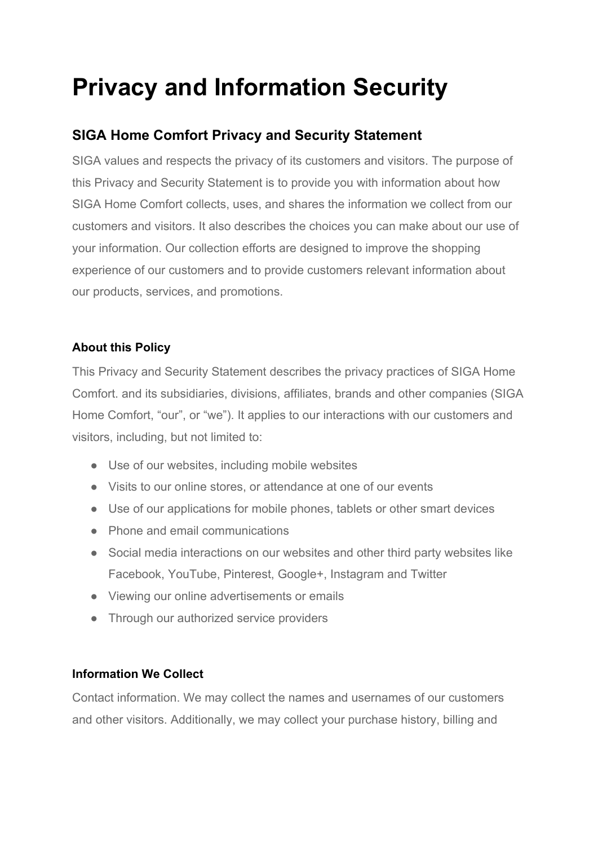# **Privacy and Information Security**

# **SIGA Home Comfort Privacy and Security Statement**

SIGA values and respects the privacy of its customers and visitors. The purpose of this Privacy and Security Statement is to provide you with information about how SIGA Home Comfort collects, uses, and shares the information we collect from our customers and visitors. It also describes the choices you can make about our use of your information. Our collection efforts are designed to improve the shopping experience of our customers and to provide customers relevant information about our products, services, and promotions.

# **About this Policy**

This Privacy and Security Statement describes the privacy practices of SIGA Home Comfort. and its subsidiaries, divisions, affiliates, brands and other companies (SIGA Home Comfort, "our", or "we"). It applies to our interactions with our customers and visitors, including, but not limited to:

- Use of our websites, including mobile websites
- Visits to our online stores, or attendance at one of our events
- Use of our applications for mobile phones, tablets or other smart devices
- Phone and email communications
- Social media interactions on our websites and other third party websites like Facebook, YouTube, Pinterest, Google+, Instagram and Twitter
- Viewing our online advertisements or emails
- Through our authorized service providers

# **Information We Collect**

Contact information. We may collect the names and usernames of our customers and other visitors. Additionally, we may collect your purchase history, billing and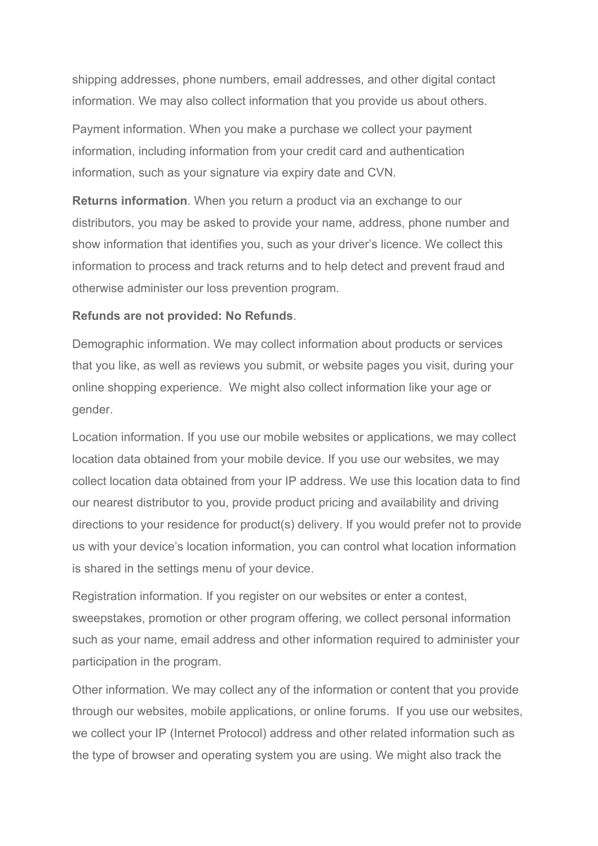shipping addresses, phone numbers, email addresses, and other digital contact information. We may also collect information that you provide us about others.

Payment information. When you make a purchase we collect your payment information, including information from your credit card and authentication information, such as your signature via expiry date and CVN.

**Returns information**. When you return a product via an exchange to our distributors, you may be asked to provide your name, address, phone number and show information that identifies you, such as your driver's licence. We collect this information to process and track returns and to help detect and prevent fraud and otherwise administer our loss prevention program.

#### **Refunds are not provided: No Refunds**.

Demographic information. We may collect information about products or services that you like, as well as reviews you submit, or website pages you visit, during your online shopping experience. We might also collect information like your age or gender.

Location information. If you use our mobile websites or applications, we may collect location data obtained from your mobile device. If you use our websites, we may collect location data obtained from your IP address. We use this location data to find our nearest distributor to you, provide product pricing and availability and driving directions to your residence for product(s) delivery. If you would prefer not to provide us with your device's location information, you can control what location information is shared in the settings menu of your device.

Registration information. If you register on our websites or enter a contest, sweepstakes, promotion or other program offering, we collect personal information such as your name, email address and other information required to administer your participation in the program.

Other information. We may collect any of the information or content that you provide through our websites, mobile applications, or online forums. If you use our websites, we collect your IP (Internet Protocol) address and other related information such as the type of browser and operating system you are using. We might also track the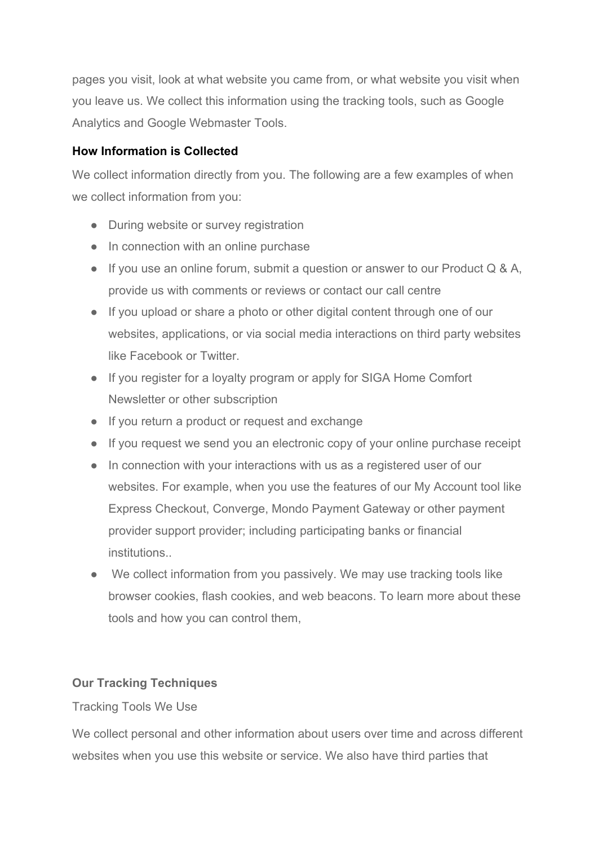pages you visit, look at what website you came from, or what website you visit when you leave us. We collect this information using the tracking tools, such as Google Analytics and Google Webmaster Tools.

# **How Information is Collected**

We collect information directly from you. The following are a few examples of when we collect information from you:

- During website or survey registration
- In connection with an online purchase
- If you use an online forum, submit a question or answer to our Product Q & A, provide us with comments or reviews or contact our call centre
- If you upload or share a photo or other digital content through one of our websites, applications, or via social media interactions on third party websites like Facebook or Twitter.
- If you register for a loyalty program or apply for SIGA Home Comfort Newsletter or other subscription
- If you return a product or request and exchange
- If you request we send you an electronic copy of your online purchase receipt
- In connection with your interactions with us as a registered user of our websites. For example, when you use the features of our My Account tool like Express Checkout, Converge, Mondo Payment Gateway or other payment provider support provider; including participating banks or financial institutions..
- We collect information from you passively. We may use tracking tools like browser cookies, flash cookies, and web beacons. To learn more about these tools and how you can control them,

# **Our Tracking Techniques**

# Tracking Tools We Use

We collect personal and other information about users over time and across different websites when you use this website or service. We also have third parties that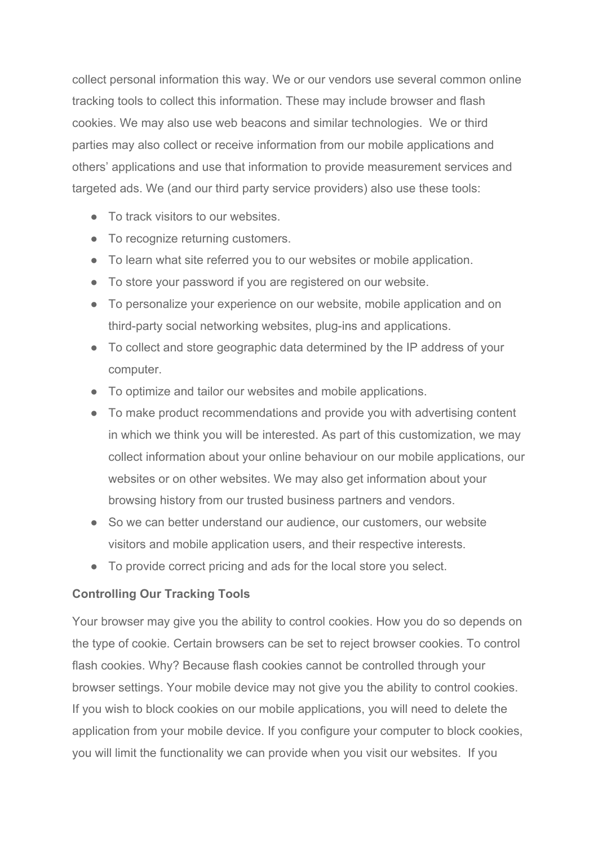collect personal information this way. We or our vendors use several common online tracking tools to collect this information. These may include browser and flash cookies. We may also use web beacons and similar technologies. We or third parties may also collect or receive information from our mobile applications and others' applications and use that information to provide measurement services and targeted ads. We (and our third party service providers) also use these tools:

- To track visitors to our websites.
- To recognize returning customers.
- To learn what site referred you to our websites or mobile application.
- To store your password if you are registered on our website.
- To personalize your experience on our website, mobile application and on third-party social networking websites, plug-ins and applications.
- To collect and store geographic data determined by the IP address of your computer.
- To optimize and tailor our websites and mobile applications.
- To make product recommendations and provide you with advertising content in which we think you will be interested. As part of this customization, we may collect information about your online behaviour on our mobile applications, our websites or on other websites. We may also get information about your browsing history from our trusted business partners and vendors.
- So we can better understand our audience, our customers, our website visitors and mobile application users, and their respective interests.
- To provide correct pricing and ads for the local store you select.

# **Controlling Our Tracking Tools**

Your browser may give you the ability to control cookies. How you do so depends on the type of cookie. Certain browsers can be set to reject browser cookies. To control flash cookies. Why? Because flash cookies cannot be controlled through your browser settings. Your mobile device may not give you the ability to control cookies. If you wish to block cookies on our mobile applications, you will need to delete the application from your mobile device. If you configure your computer to block cookies, you will limit the functionality we can provide when you visit our websites. If you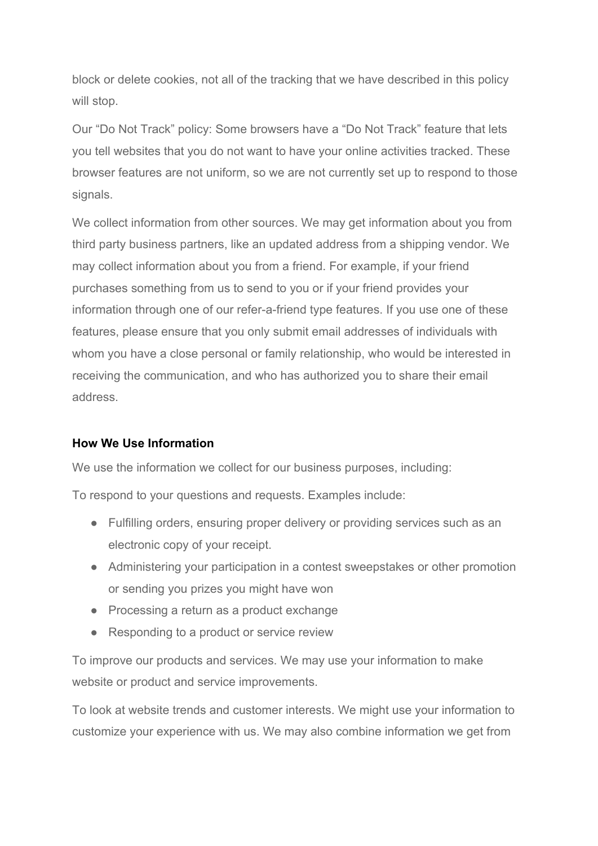block or delete cookies, not all of the tracking that we have described in this policy will stop.

Our "Do Not Track" policy: Some browsers have a "Do Not Track" feature that lets you tell websites that you do not want to have your online activities tracked. These browser features are not uniform, so we are not currently set up to respond to those signals.

We collect information from other sources. We may get information about you from third party business partners, like an updated address from a shipping vendor. We may collect information about you from a friend. For example, if your friend purchases something from us to send to you or if your friend provides your information through one of our refer-a-friend type features. If you use one of these features, please ensure that you only submit email addresses of individuals with whom you have a close personal or family relationship, who would be interested in receiving the communication, and who has authorized you to share their email address.

## **How We Use Information**

We use the information we collect for our business purposes, including:

To respond to your questions and requests. Examples include:

- Fulfilling orders, ensuring proper delivery or providing services such as an electronic copy of your receipt.
- Administering your participation in a contest sweepstakes or other promotion or sending you prizes you might have won
- Processing a return as a product exchange
- Responding to a product or service review

To improve our products and services. We may use your information to make website or product and service improvements.

To look at website trends and customer interests. We might use your information to customize your experience with us. We may also combine information we get from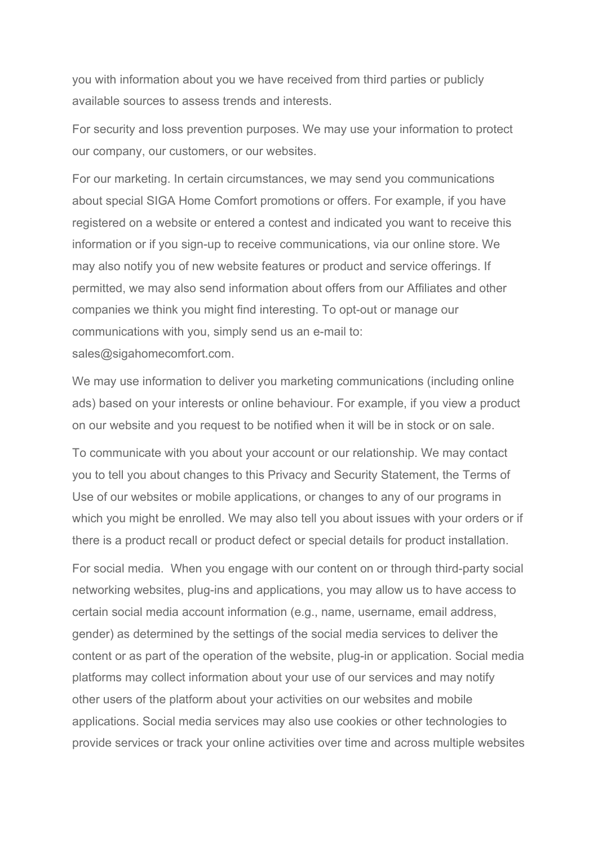you with information about you we have received from third parties or publicly available sources to assess trends and interests.

For security and loss prevention purposes. We may use your information to protect our company, our customers, or our websites.

For our marketing. In certain circumstances, we may send you communications about special SIGA Home Comfort promotions or offers. For example, if you have registered on a website or entered a contest and indicated you want to receive this information or if you sign-up to receive communications, via our online store. We may also notify you of new website features or product and service offerings. If permitted, we may also send information about offers from our Affiliates and other companies we think you might find interesting. To opt-out or manage our communications with you, simply send us an e-mail to: sales@sigahomecomfort.com.

We may use information to deliver you marketing communications (including online ads) based on your interests or online behaviour. For example, if you view a product on our website and you request to be notified when it will be in stock or on sale.

To communicate with you about your account or our relationship. We may contact you to tell you about changes to this Privacy and Security Statement, the Terms of Use of our websites or mobile applications, or changes to any of our programs in which you might be enrolled. We may also tell you about issues with your orders or if there is a product recall or product defect or special details for product installation.

For social media. When you engage with our content on or through third-party social networking websites, plug-ins and applications, you may allow us to have access to certain social media account information (e.g., name, username, email address, gender) as determined by the settings of the social media services to deliver the content or as part of the operation of the website, plug-in or application. Social media platforms may collect information about your use of our services and may notify other users of the platform about your activities on our websites and mobile applications. Social media services may also use cookies or other technologies to provide services or track your online activities over time and across multiple websites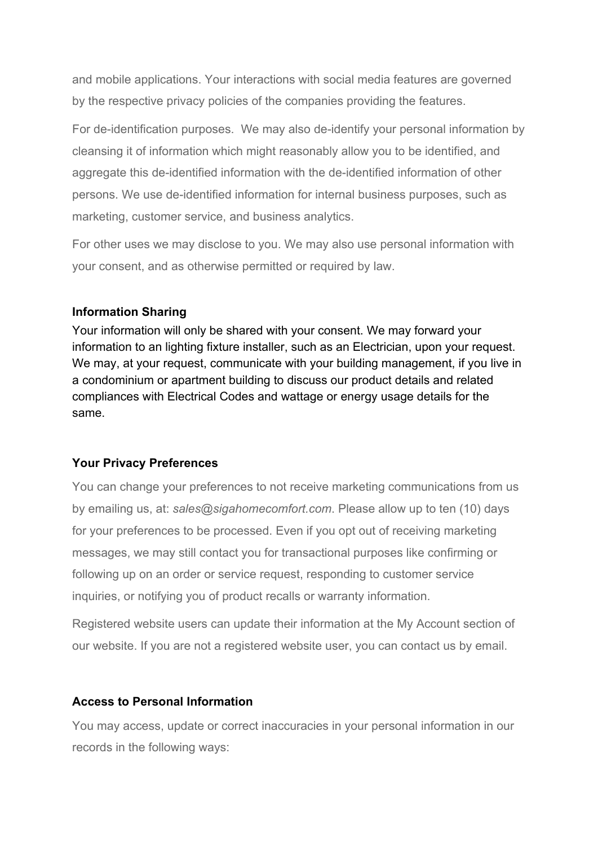and mobile applications. Your interactions with social media features are governed by the respective privacy policies of the companies providing the features.

For de-identification purposes. We may also de-identify your personal information by cleansing it of information which might reasonably allow you to be identified, and aggregate this de-identified information with the de-identified information of other persons. We use de-identified information for internal business purposes, such as marketing, customer service, and business analytics.

For other uses we may disclose to you. We may also use personal information with your consent, and as otherwise permitted or required by law.

#### **Information Sharing**

Your information will only be shared with your consent. We may forward your information to an lighting fixture installer, such as an Electrician, upon your request. We may, at your request, communicate with your building management, if you live in a condominium or apartment building to discuss our product details and related compliances with Electrical Codes and wattage or energy usage details for the same.

#### **Your Privacy Preferences**

You can change your preferences to not receive marketing communications from us by emailing us, at: *sales@sigahomecomfort.com*. Please allow up to ten (10) days for your preferences to be processed. Even if you opt out of receiving marketing messages, we may still contact you for transactional purposes like confirming or following up on an order or service request, responding to customer service inquiries, or notifying you of product recalls or warranty information.

Registered website users can update their information at the My Account section of our website. If you are not a registered website user, you can contact us by email.

#### **Access to Personal Information**

You may access, update or correct inaccuracies in your personal information in our records in the following ways: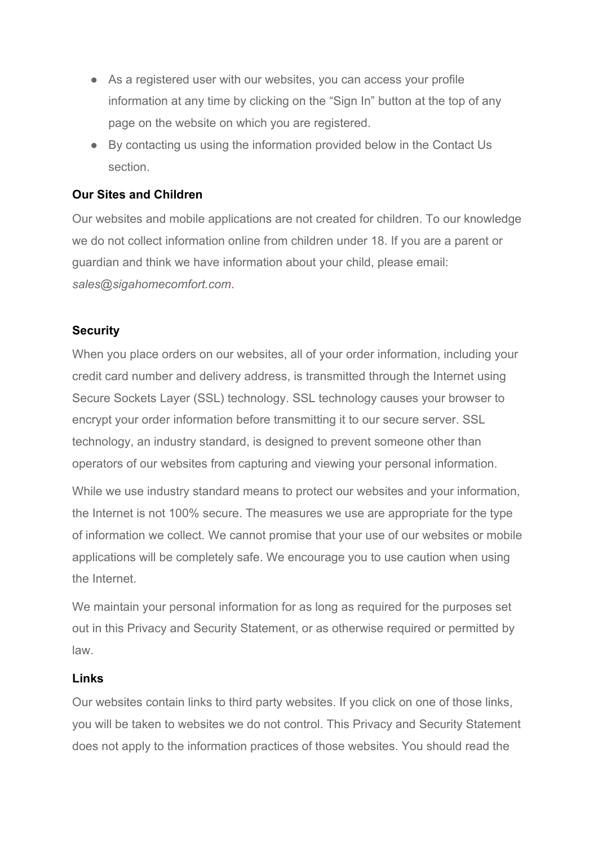- As a registered user with our websites, you can access your profile information at any time by clicking on the "Sign In" button at the top of any page on the website on which you are registered.
- By contacting us using the information provided below in the Contact Us section.

## **Our Sites and Children**

Our websites and mobile applications are not created for children. To our knowledge we do not collect information online from children under 18. If you are a parent or guardian and think we have information about your child, please email: *sales@sigahomecomfort.com*.

#### **Security**

When you place orders on our websites, all of your order information, including your credit card number and delivery address, is transmitted through the Internet using Secure Sockets Layer (SSL) technology. SSL technology causes your browser to encrypt your order information before transmitting it to our secure server. SSL technology, an industry standard, is designed to prevent someone other than operators of our websites from capturing and viewing your personal information.

While we use industry standard means to protect our websites and your information, the Internet is not 100% secure. The measures we use are appropriate for the type of information we collect. We cannot promise that your use of our websites or mobile applications will be completely safe. We encourage you to use caution when using the Internet.

We maintain your personal information for as long as required for the purposes set out in this Privacy and Security Statement, or as otherwise required or permitted by law.

#### **Links**

Our websites contain links to third party websites. If you click on one of those links, you will be taken to websites we do not control. This Privacy and Security Statement does not apply to the information practices of those websites. You should read the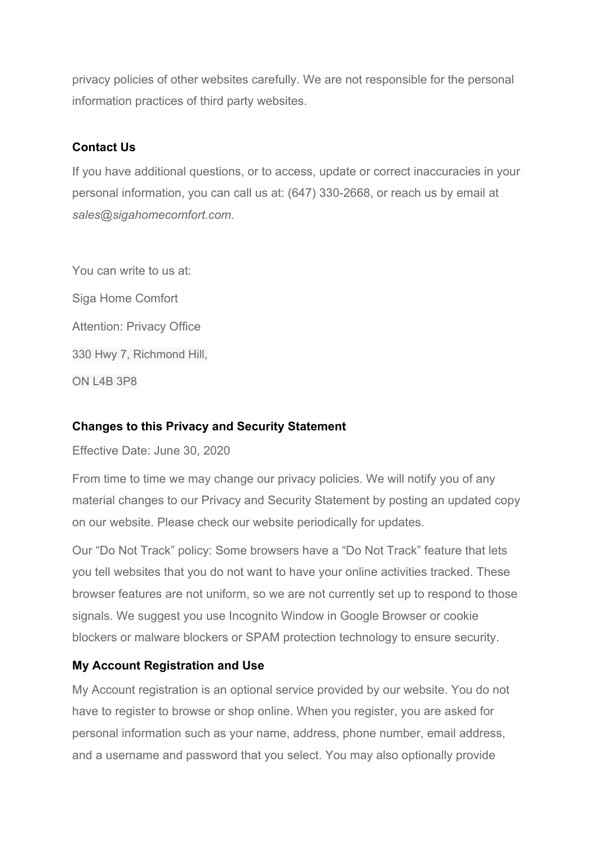privacy policies of other websites carefully. We are not responsible for the personal information practices of third party websites.

## **Contact Us**

If you have additional questions, or to access, update or correct inaccuracies in your personal information, you can call us at: (647) 330-2668, or reach us by email at *sales@sigahomecomfort.com.*

You can write to us at: Siga Home Comfort Attention: Privacy Office 330 Hwy 7, Richmond Hill, ON L4B 3P8

## **Changes to this Privacy and Security Statement**

Effective Date: June 30, 2020

From time to time we may change our privacy policies. We will notify you of any material changes to our Privacy and Security Statement by posting an updated copy on our website. Please check our website periodically for updates.

Our "Do Not Track" policy: Some browsers have a "Do Not Track" feature that lets you tell websites that you do not want to have your online activities tracked. These browser features are not uniform, so we are not currently set up to respond to those signals. We suggest you use Incognito Window in Google Browser or cookie blockers or malware blockers or SPAM protection technology to ensure security.

# **My Account Registration and Use**

My Account registration is an optional service provided by our website. You do not have to register to browse or shop online. When you register, you are asked for personal information such as your name, address, phone number, email address, and a username and password that you select. You may also optionally provide